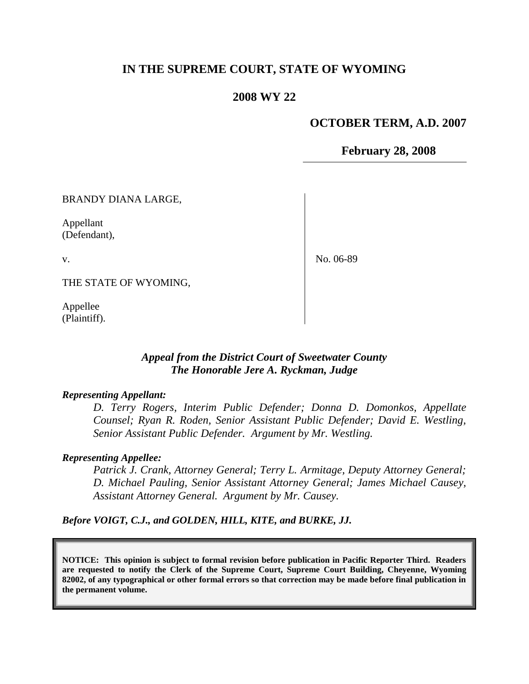# **IN THE SUPREME COURT, STATE OF WYOMING**

### **2008 WY 22**

#### **OCTOBER TERM, A.D. 2007**

**February 28, 2008**

BRANDY DIANA LARGE,

Appellant (Defendant),

v.

No. 06-89

THE STATE OF WYOMING,

Appellee (Plaintiff).

# *Appeal from the District Court of Sweetwater County The Honorable Jere A. Ryckman, Judge*

#### *Representing Appellant:*

*D. Terry Rogers, Interim Public Defender; Donna D. Domonkos, Appellate Counsel; Ryan R. Roden, Senior Assistant Public Defender; David E. Westling, Senior Assistant Public Defender. Argument by Mr. Westling.*

#### *Representing Appellee:*

*Patrick J. Crank, Attorney General; Terry L. Armitage, Deputy Attorney General; D. Michael Pauling, Senior Assistant Attorney General; James Michael Causey, Assistant Attorney General. Argument by Mr. Causey.*

*Before VOIGT, C.J., and GOLDEN, HILL, KITE, and BURKE, JJ.*

**NOTICE: This opinion is subject to formal revision before publication in Pacific Reporter Third. Readers are requested to notify the Clerk of the Supreme Court, Supreme Court Building, Cheyenne, Wyoming 82002, of any typographical or other formal errors so that correction may be made before final publication in the permanent volume.**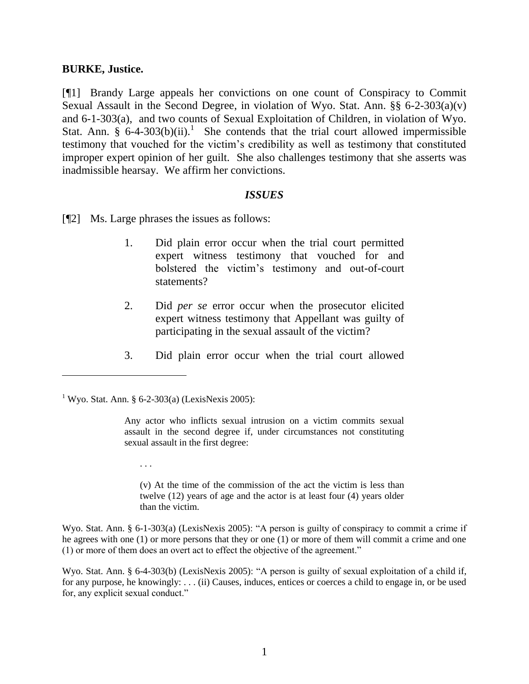### **BURKE, Justice.**

[¶1] Brandy Large appeals her convictions on one count of Conspiracy to Commit Sexual Assault in the Second Degree, in violation of Wyo. Stat. Ann. §§ 6-2-303(a)(v) and 6-1-303(a), and two counts of Sexual Exploitation of Children, in violation of Wyo. Stat. Ann. §  $6-4-303(b)(ii)$ .<sup>1</sup> She contends that the trial court allowed impermissible testimony that vouched for the victim's credibility as well as testimony that constituted improper expert opinion of her guilt. She also challenges testimony that she asserts was inadmissible hearsay. We affirm her convictions.

### *ISSUES*

[¶2] Ms. Large phrases the issues as follows:

- 1. Did plain error occur when the trial court permitted expert witness testimony that vouched for and bolstered the victim's testimony and out-of-court statements?
- 2. Did *per se* error occur when the prosecutor elicited expert witness testimony that Appellant was guilty of participating in the sexual assault of the victim?
- 3. Did plain error occur when the trial court allowed

. . .

 $\overline{a}$ 

(v) At the time of the commission of the act the victim is less than twelve (12) years of age and the actor is at least four (4) years older than the victim.

Wyo. Stat. Ann. § 6-1-303(a) (LexisNexis 2005): "A person is guilty of conspiracy to commit a crime if he agrees with one (1) or more persons that they or one (1) or more of them will commit a crime and one (1) or more of them does an overt act to effect the objective of the agreement."

Wyo. Stat. Ann. § 6-4-303(b) (LexisNexis 2005): "A person is guilty of sexual exploitation of a child if, for any purpose, he knowingly: . . . (ii) Causes, induces, entices or coerces a child to engage in, or be used for, any explicit sexual conduct."

<sup>&</sup>lt;sup>1</sup> Wyo. Stat. Ann. § 6-2-303(a) (LexisNexis 2005):

Any actor who inflicts sexual intrusion on a victim commits sexual assault in the second degree if, under circumstances not constituting sexual assault in the first degree: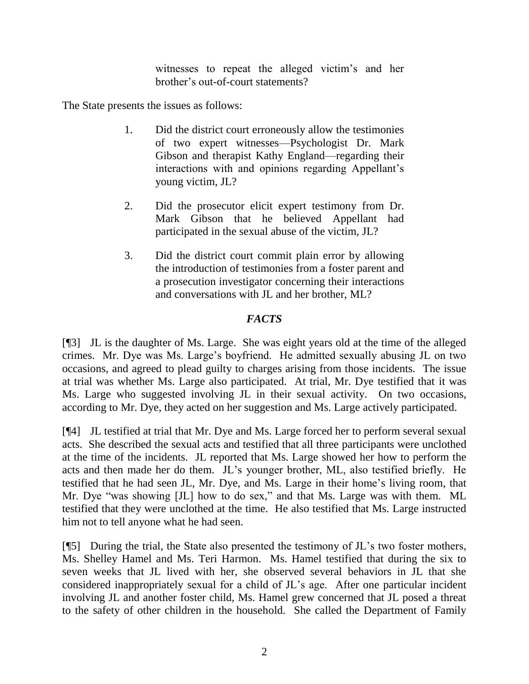witnesses to repeat the alleged victim's and her brother's out-of-court statements?

The State presents the issues as follows:

- 1. Did the district court erroneously allow the testimonies of two expert witnesses—Psychologist Dr. Mark Gibson and therapist Kathy England—regarding their interactions with and opinions regarding Appellant's young victim, JL?
- 2. Did the prosecutor elicit expert testimony from Dr. Mark Gibson that he believed Appellant had participated in the sexual abuse of the victim, JL?
- 3. Did the district court commit plain error by allowing the introduction of testimonies from a foster parent and a prosecution investigator concerning their interactions and conversations with JL and her brother, ML?

# *FACTS*

[¶3] JL is the daughter of Ms. Large. She was eight years old at the time of the alleged crimes. Mr. Dye was Ms. Large's boyfriend. He admitted sexually abusing JL on two occasions, and agreed to plead guilty to charges arising from those incidents. The issue at trial was whether Ms. Large also participated. At trial, Mr. Dye testified that it was Ms. Large who suggested involving JL in their sexual activity. On two occasions, according to Mr. Dye, they acted on her suggestion and Ms. Large actively participated.

[¶4] JL testified at trial that Mr. Dye and Ms. Large forced her to perform several sexual acts. She described the sexual acts and testified that all three participants were unclothed at the time of the incidents. JL reported that Ms. Large showed her how to perform the acts and then made her do them. JL's younger brother, ML, also testified briefly. He testified that he had seen JL, Mr. Dye, and Ms. Large in their home's living room, that Mr. Dye "was showing [JL] how to do sex," and that Ms. Large was with them. ML testified that they were unclothed at the time. He also testified that Ms. Large instructed him not to tell anyone what he had seen.

[¶5] During the trial, the State also presented the testimony of JL's two foster mothers, Ms. Shelley Hamel and Ms. Teri Harmon. Ms. Hamel testified that during the six to seven weeks that JL lived with her, she observed several behaviors in JL that she considered inappropriately sexual for a child of JL's age. After one particular incident involving JL and another foster child, Ms. Hamel grew concerned that JL posed a threat to the safety of other children in the household. She called the Department of Family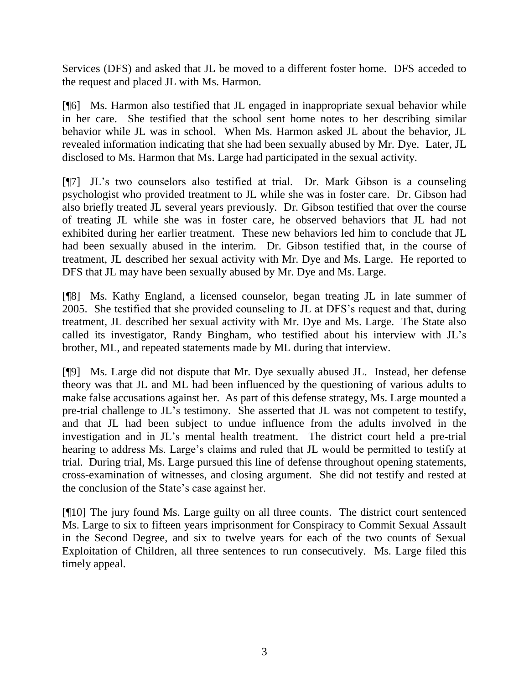Services (DFS) and asked that JL be moved to a different foster home. DFS acceded to the request and placed JL with Ms. Harmon.

[¶6] Ms. Harmon also testified that JL engaged in inappropriate sexual behavior while in her care. She testified that the school sent home notes to her describing similar behavior while JL was in school. When Ms. Harmon asked JL about the behavior, JL revealed information indicating that she had been sexually abused by Mr. Dye. Later, JL disclosed to Ms. Harmon that Ms. Large had participated in the sexual activity.

[¶7] JL's two counselors also testified at trial. Dr. Mark Gibson is a counseling psychologist who provided treatment to JL while she was in foster care. Dr. Gibson had also briefly treated JL several years previously. Dr. Gibson testified that over the course of treating JL while she was in foster care, he observed behaviors that JL had not exhibited during her earlier treatment. These new behaviors led him to conclude that JL had been sexually abused in the interim. Dr. Gibson testified that, in the course of treatment, JL described her sexual activity with Mr. Dye and Ms. Large. He reported to DFS that JL may have been sexually abused by Mr. Dye and Ms. Large.

[¶8] Ms. Kathy England, a licensed counselor, began treating JL in late summer of 2005. She testified that she provided counseling to JL at DFS's request and that, during treatment, JL described her sexual activity with Mr. Dye and Ms. Large. The State also called its investigator, Randy Bingham, who testified about his interview with JL's brother, ML, and repeated statements made by ML during that interview.

[¶9] Ms. Large did not dispute that Mr. Dye sexually abused JL. Instead, her defense theory was that JL and ML had been influenced by the questioning of various adults to make false accusations against her. As part of this defense strategy, Ms. Large mounted a pre-trial challenge to JL's testimony. She asserted that JL was not competent to testify, and that JL had been subject to undue influence from the adults involved in the investigation and in JL's mental health treatment. The district court held a pre-trial hearing to address Ms. Large's claims and ruled that JL would be permitted to testify at trial. During trial, Ms. Large pursued this line of defense throughout opening statements, cross-examination of witnesses, and closing argument. She did not testify and rested at the conclusion of the State's case against her.

[¶10] The jury found Ms. Large guilty on all three counts. The district court sentenced Ms. Large to six to fifteen years imprisonment for Conspiracy to Commit Sexual Assault in the Second Degree, and six to twelve years for each of the two counts of Sexual Exploitation of Children, all three sentences to run consecutively. Ms. Large filed this timely appeal.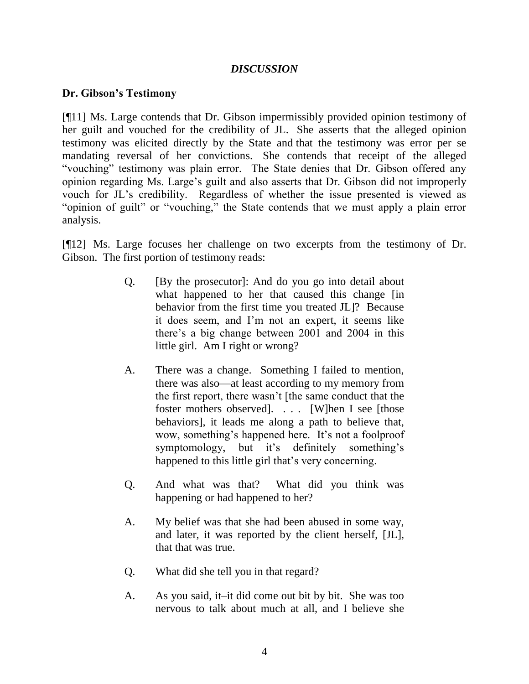# *DISCUSSION*

## **Dr. Gibson's Testimony**

[¶11] Ms. Large contends that Dr. Gibson impermissibly provided opinion testimony of her guilt and vouched for the credibility of JL. She asserts that the alleged opinion testimony was elicited directly by the State and that the testimony was error per se mandating reversal of her convictions. She contends that receipt of the alleged "vouching" testimony was plain error. The State denies that Dr. Gibson offered any opinion regarding Ms. Large's guilt and also asserts that Dr. Gibson did not improperly vouch for JL's credibility. Regardless of whether the issue presented is viewed as "opinion of guilt" or "vouching," the State contends that we must apply a plain error analysis.

[¶12] Ms. Large focuses her challenge on two excerpts from the testimony of Dr. Gibson. The first portion of testimony reads:

- Q. [By the prosecutor]: And do you go into detail about what happened to her that caused this change [in behavior from the first time you treated JL]? Because it does seem, and I'm not an expert, it seems like there's a big change between 2001 and 2004 in this little girl. Am I right or wrong?
- A. There was a change. Something I failed to mention, there was also—at least according to my memory from the first report, there wasn't [the same conduct that the foster mothers observed]. . . . [W]hen I see [those behaviors], it leads me along a path to believe that, wow, something's happened here. It's not a foolproof symptomology, but it's definitely something's happened to this little girl that's very concerning.
- Q. And what was that? What did you think was happening or had happened to her?
- A. My belief was that she had been abused in some way, and later, it was reported by the client herself, [JL], that that was true.
- Q. What did she tell you in that regard?
- A. As you said, it–it did come out bit by bit. She was too nervous to talk about much at all, and I believe she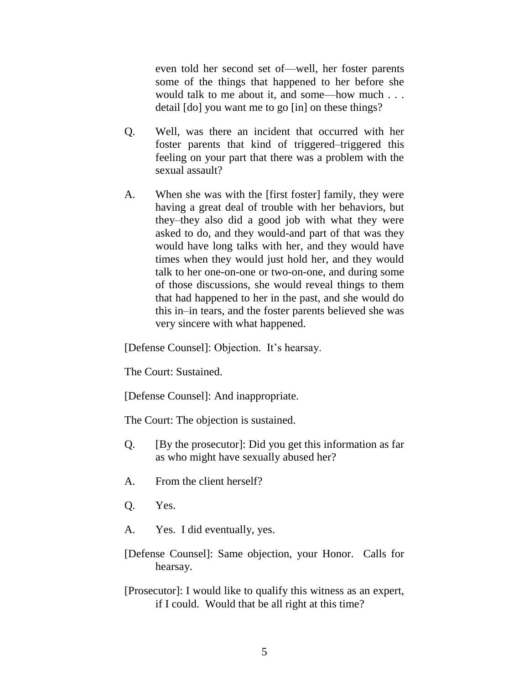even told her second set of—well, her foster parents some of the things that happened to her before she would talk to me about it, and some—how much . . . detail [do] you want me to go [in] on these things?

- Q. Well, was there an incident that occurred with her foster parents that kind of triggered–triggered this feeling on your part that there was a problem with the sexual assault?
- A. When she was with the [first foster] family, they were having a great deal of trouble with her behaviors, but they–they also did a good job with what they were asked to do, and they would-and part of that was they would have long talks with her, and they would have times when they would just hold her, and they would talk to her one-on-one or two-on-one, and during some of those discussions, she would reveal things to them that had happened to her in the past, and she would do this in–in tears, and the foster parents believed she was very sincere with what happened.

[Defense Counsel]: Objection. It's hearsay.

The Court: Sustained.

[Defense Counsel]: And inappropriate.

The Court: The objection is sustained.

- Q. [By the prosecutor]: Did you get this information as far as who might have sexually abused her?
- A. From the client herself?
- Q. Yes.
- A. Yes. I did eventually, yes.
- [Defense Counsel]: Same objection, your Honor. Calls for hearsay.
- [Prosecutor]: I would like to qualify this witness as an expert, if I could. Would that be all right at this time?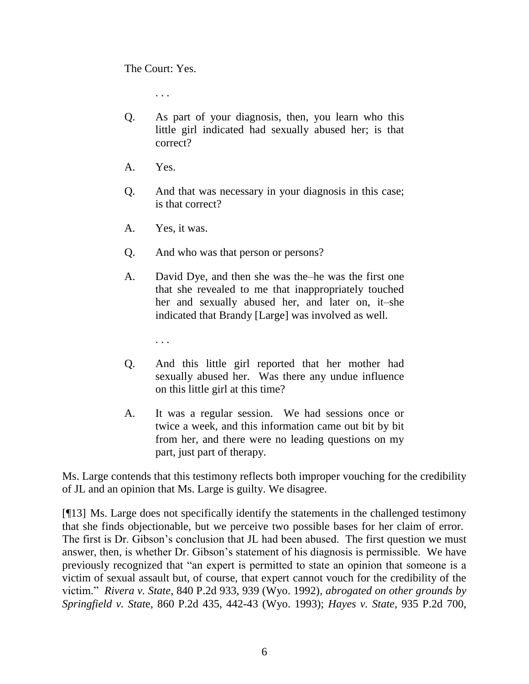The Court: Yes.

. . .

- Q. As part of your diagnosis, then, you learn who this little girl indicated had sexually abused her; is that correct?
- A. Yes.
- Q. And that was necessary in your diagnosis in this case; is that correct?
- A. Yes, it was.
- Q. And who was that person or persons?
- A. David Dye, and then she was the–he was the first one that she revealed to me that inappropriately touched her and sexually abused her, and later on, it–she indicated that Brandy [Large] was involved as well.
	- . . .
- Q. And this little girl reported that her mother had sexually abused her. Was there any undue influence on this little girl at this time?
- A. It was a regular session. We had sessions once or twice a week, and this information came out bit by bit from her, and there were no leading questions on my part, just part of therapy.

Ms. Large contends that this testimony reflects both improper vouching for the credibility of JL and an opinion that Ms. Large is guilty. We disagree.

[¶13] Ms. Large does not specifically identify the statements in the challenged testimony that she finds objectionable, but we perceive two possible bases for her claim of error. The first is Dr. Gibson's conclusion that JL had been abused. The first question we must answer, then, is whether Dr. Gibson's statement of his diagnosis is permissible. We have previously recognized that "an expert is permitted to state an opinion that someone is a victim of sexual assault but, of course, that expert cannot vouch for the credibility of the victim.‖ *Rivera v. State*, 840 P.2d 933, 939 (Wyo. 1992), *abrogated on other grounds by Springfield v. Stat*e, 860 P.2d 435, 442-43 (Wyo. 1993); *Hayes v. State*, 935 P.2d 700,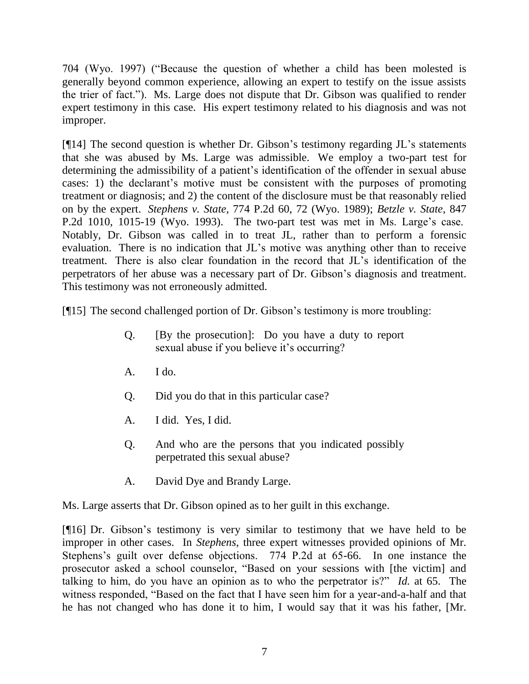704 (Wyo. 1997) ("Because the question of whether a child has been molested is generally beyond common experience, allowing an expert to testify on the issue assists the trier of fact.‖). Ms. Large does not dispute that Dr. Gibson was qualified to render expert testimony in this case. His expert testimony related to his diagnosis and was not improper.

[¶14] The second question is whether Dr. Gibson's testimony regarding JL's statements that she was abused by Ms. Large was admissible. We employ a two-part test for determining the admissibility of a patient's identification of the offender in sexual abuse cases: 1) the declarant's motive must be consistent with the purposes of promoting treatment or diagnosis; and 2) the content of the disclosure must be that reasonably relied on by the expert. *Stephens v. State*, 774 P.2d 60, 72 (Wyo. 1989); *Betzle v. State*, 847 P.2d 1010, 1015-19 (Wyo. 1993). The two-part test was met in Ms. Large's case. Notably, Dr. Gibson was called in to treat JL, rather than to perform a forensic evaluation. There is no indication that JL's motive was anything other than to receive treatment. There is also clear foundation in the record that JL's identification of the perpetrators of her abuse was a necessary part of Dr. Gibson's diagnosis and treatment. This testimony was not erroneously admitted.

[¶15] The second challenged portion of Dr. Gibson's testimony is more troubling:

- Q. [By the prosecution]: Do you have a duty to report sexual abuse if you believe it's occurring?
- A. I do.
- Q. Did you do that in this particular case?
- A. I did. Yes, I did.
- Q. And who are the persons that you indicated possibly perpetrated this sexual abuse?
- A. David Dye and Brandy Large.

Ms. Large asserts that Dr. Gibson opined as to her guilt in this exchange.

[¶16] Dr. Gibson's testimony is very similar to testimony that we have held to be improper in other cases. In *Stephens*, three expert witnesses provided opinions of Mr. Stephens's guilt over defense objections. 774 P.2d at 65-66. In one instance the prosecutor asked a school counselor, "Based on your sessions with [the victim] and talking to him, do you have an opinion as to who the perpetrator is?" *Id.* at 65. The witness responded, "Based on the fact that I have seen him for a year-and-a-half and that he has not changed who has done it to him, I would say that it was his father, [Mr.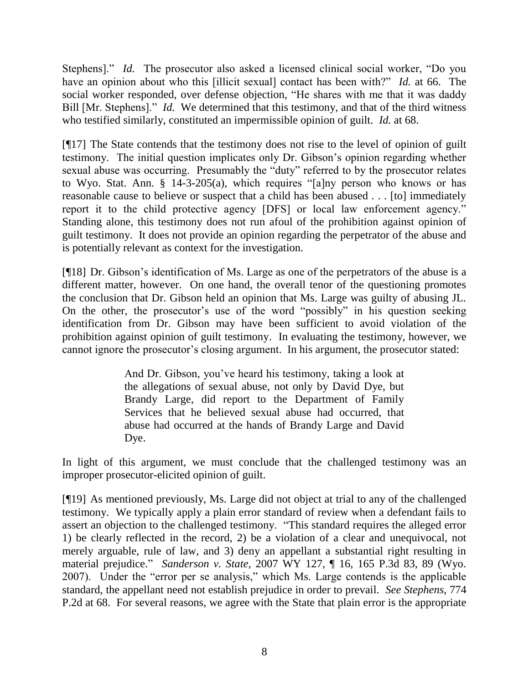Stephens]." *Id.* The prosecutor also asked a licensed clinical social worker, "Do you have an opinion about who this [illicit sexual] contact has been with?" *Id.* at 66. The social worker responded, over defense objection, "He shares with me that it was daddy Bill [Mr. Stephens]." *Id.* We determined that this testimony, and that of the third witness who testified similarly, constituted an impermissible opinion of guilt. *Id.* at 68.

[¶17] The State contends that the testimony does not rise to the level of opinion of guilt testimony. The initial question implicates only Dr. Gibson's opinion regarding whether sexual abuse was occurring. Presumably the "duty" referred to by the prosecutor relates to Wyo. Stat. Ann. § 14-3-205(a), which requires "[a]ny person who knows or has reasonable cause to believe or suspect that a child has been abused . . . [to] immediately report it to the child protective agency [DFS] or local law enforcement agency." Standing alone, this testimony does not run afoul of the prohibition against opinion of guilt testimony. It does not provide an opinion regarding the perpetrator of the abuse and is potentially relevant as context for the investigation.

[¶18] Dr. Gibson's identification of Ms. Large as one of the perpetrators of the abuse is a different matter, however. On one hand, the overall tenor of the questioning promotes the conclusion that Dr. Gibson held an opinion that Ms. Large was guilty of abusing JL. On the other, the prosecutor's use of the word "possibly" in his question seeking identification from Dr. Gibson may have been sufficient to avoid violation of the prohibition against opinion of guilt testimony. In evaluating the testimony, however, we cannot ignore the prosecutor's closing argument. In his argument, the prosecutor stated:

> And Dr. Gibson, you've heard his testimony, taking a look at the allegations of sexual abuse, not only by David Dye, but Brandy Large, did report to the Department of Family Services that he believed sexual abuse had occurred, that abuse had occurred at the hands of Brandy Large and David Dye.

In light of this argument, we must conclude that the challenged testimony was an improper prosecutor-elicited opinion of guilt.

[¶19] As mentioned previously, Ms. Large did not object at trial to any of the challenged testimony. We typically apply a plain error standard of review when a defendant fails to assert an objection to the challenged testimony. "This standard requires the alleged error 1) be clearly reflected in the record, 2) be a violation of a clear and unequivocal, not merely arguable, rule of law, and 3) deny an appellant a substantial right resulting in material prejudice.‖ *Sanderson v. State*, 2007 WY 127, ¶ 16, 165 P.3d 83, 89 (Wyo. 2007). Under the "error per se analysis," which Ms. Large contends is the applicable standard, the appellant need not establish prejudice in order to prevail. *See Stephens*, 774 P.2d at 68. For several reasons, we agree with the State that plain error is the appropriate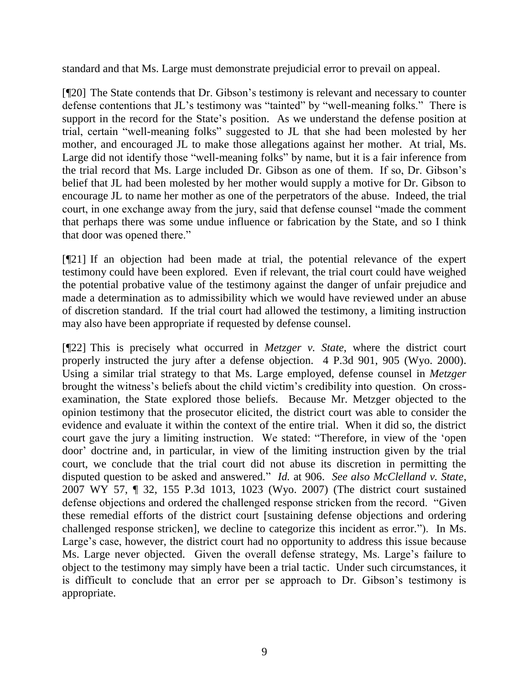standard and that Ms. Large must demonstrate prejudicial error to prevail on appeal.

[¶20] The State contends that Dr. Gibson's testimony is relevant and necessary to counter defense contentions that JL's testimony was "tainted" by "well-meaning folks." There is support in the record for the State's position. As we understand the defense position at trial, certain "well-meaning folks" suggested to JL that she had been molested by her mother, and encouraged JL to make those allegations against her mother. At trial, Ms. Large did not identify those "well-meaning folks" by name, but it is a fair inference from the trial record that Ms. Large included Dr. Gibson as one of them. If so, Dr. Gibson's belief that JL had been molested by her mother would supply a motive for Dr. Gibson to encourage JL to name her mother as one of the perpetrators of the abuse. Indeed, the trial court, in one exchange away from the jury, said that defense counsel "made the comment" that perhaps there was some undue influence or fabrication by the State, and so I think that door was opened there."

[¶21] If an objection had been made at trial, the potential relevance of the expert testimony could have been explored. Even if relevant, the trial court could have weighed the potential probative value of the testimony against the danger of unfair prejudice and made a determination as to admissibility which we would have reviewed under an abuse of discretion standard. If the trial court had allowed the testimony, a limiting instruction may also have been appropriate if requested by defense counsel.

[¶22] This is precisely what occurred in *Metzger v. State*, where the district court properly instructed the jury after a defense objection. 4 P.3d 901, 905 (Wyo. 2000). Using a similar trial strategy to that Ms. Large employed, defense counsel in *Metzger* brought the witness's beliefs about the child victim's credibility into question. On crossexamination, the State explored those beliefs. Because Mr. Metzger objected to the opinion testimony that the prosecutor elicited, the district court was able to consider the evidence and evaluate it within the context of the entire trial. When it did so, the district court gave the jury a limiting instruction. We stated: "Therefore, in view of the 'open door' doctrine and, in particular, in view of the limiting instruction given by the trial court, we conclude that the trial court did not abuse its discretion in permitting the disputed question to be asked and answered." *Id.* at 906. *See also McClelland v. State*, 2007 WY 57, ¶ 32, 155 P.3d 1013, 1023 (Wyo. 2007) (The district court sustained defense objections and ordered the challenged response stricken from the record. "Given these remedial efforts of the district court [sustaining defense objections and ordering challenged response stricken], we decline to categorize this incident as error."). In Ms. Large's case, however, the district court had no opportunity to address this issue because Ms. Large never objected. Given the overall defense strategy, Ms. Large's failure to object to the testimony may simply have been a trial tactic. Under such circumstances, it is difficult to conclude that an error per se approach to Dr. Gibson's testimony is appropriate.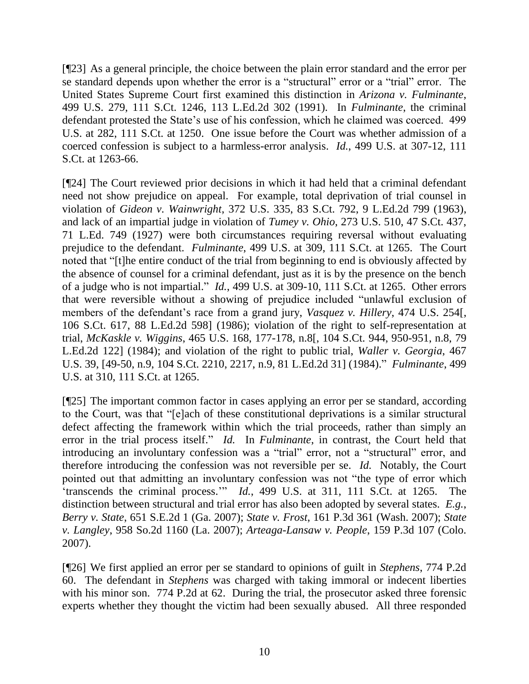[¶23] As a general principle, the choice between the plain error standard and the error per se standard depends upon whether the error is a "structural" error or a "trial" error. The United States Supreme Court first examined this distinction in *Arizona v. Fulminante*, 499 U.S. 279, 111 S.Ct. 1246, 113 L.Ed.2d 302 (1991). In *Fulminante*, the criminal defendant protested the State's use of his confession, which he claimed was coerced. 499 U.S. at 282, 111 S.Ct. at 1250. One issue before the Court was whether admission of a coerced confession is subject to a harmless-error analysis. *Id.*, 499 U.S. at 307-12, 111 S.Ct. at 1263-66.

[¶24] The Court reviewed prior decisions in which it had held that a criminal defendant need not show prejudice on appeal. For example, total deprivation of trial counsel in violation of *Gideon v. Wainwright*, 372 U.S. 335, 83 S.Ct. 792, 9 L.Ed.2d 799 (1963), and lack of an impartial judge in violation of *Tumey v. Ohio*, 273 U.S. 510, 47 S.Ct. 437, 71 L.Ed. 749 (1927) were both circumstances requiring reversal without evaluating prejudice to the defendant. *Fulminante*, 499 U.S. at 309, 111 S.Ct. at 1265. The Court noted that "[t]he entire conduct of the trial from beginning to end is obviously affected by the absence of counsel for a criminal defendant, just as it is by the presence on the bench of a judge who is not impartial." *Id.*, 499 U.S. at 309-10, 111 S.Ct. at 1265. Other errors that were reversible without a showing of prejudice included "unlawful exclusion of members of the defendant's race from a grand jury, *Vasquez v. Hillery*, 474 U.S. 254[, 106 S.Ct. 617, 88 L.Ed.2d 598] (1986); violation of the right to self-representation at trial, *McKaskle v. Wiggins*, 465 U.S. 168, 177-178, n.8[, 104 S.Ct. 944, 950-951, n.8, 79 L.Ed.2d 122] (1984); and violation of the right to public trial, *Waller v. Georgia*, 467 U.S. 39, [49-50, n.9, 104 S.Ct. 2210, 2217, n.9, 81 L.Ed.2d 31] (1984).‖ *Fulminante*, 499 U.S. at 310, 111 S.Ct. at 1265.

[¶25] The important common factor in cases applying an error per se standard, according to the Court, was that "[e]ach of these constitutional deprivations is a similar structural defect affecting the framework within which the trial proceeds, rather than simply an error in the trial process itself." *Id.* In *Fulminante*, in contrast, the Court held that introducing an involuntary confession was a "trial" error, not a "structural" error, and therefore introducing the confession was not reversible per se. *Id.* Notably, the Court pointed out that admitting an involuntary confession was not "the type of error which ‗transcends the criminal process.'‖ *Id.*, 499 U.S. at 311, 111 S.Ct. at 1265. The distinction between structural and trial error has also been adopted by several states. *E.g.*, *Berry v. State*, 651 S.E.2d 1 (Ga. 2007); *State v. Frost*, 161 P.3d 361 (Wash. 2007); *State v. Langley*, 958 So.2d 1160 (La. 2007); *Arteaga-Lansaw v. People*, 159 P.3d 107 (Colo. 2007).

[¶26] We first applied an error per se standard to opinions of guilt in *Stephens*, 774 P.2d 60. The defendant in *Stephens* was charged with taking immoral or indecent liberties with his minor son. 774 P.2d at 62. During the trial, the prosecutor asked three forensic experts whether they thought the victim had been sexually abused. All three responded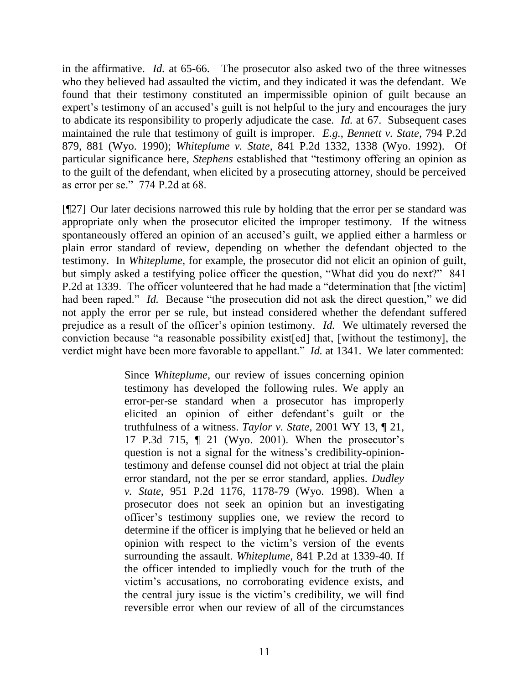in the affirmative. *Id.* at 65-66. The prosecutor also asked two of the three witnesses who they believed had assaulted the victim, and they indicated it was the defendant. We found that their testimony constituted an impermissible opinion of guilt because an expert's testimony of an accused's guilt is not helpful to the jury and encourages the jury to abdicate its responsibility to properly adjudicate the case. *Id.* at 67. Subsequent cases maintained the rule that testimony of guilt is improper. *E.g.*, *Bennett v. State*, 794 P.2d 879, 881 (Wyo. 1990); *Whiteplume v. State*, 841 P.2d 1332, 1338 (Wyo. 1992). Of particular significance here, *Stephens* established that "testimony offering an opinion as to the guilt of the defendant, when elicited by a prosecuting attorney, should be perceived as error per se." 774 P.2d at 68.

[¶27] Our later decisions narrowed this rule by holding that the error per se standard was appropriate only when the prosecutor elicited the improper testimony. If the witness spontaneously offered an opinion of an accused's guilt, we applied either a harmless or plain error standard of review, depending on whether the defendant objected to the testimony. In *Whiteplume*, for example, the prosecutor did not elicit an opinion of guilt, but simply asked a testifying police officer the question, "What did you do next?" 841 P.2d at 1339. The officer volunteered that he had made a "determination that [the victim] had been raped." *Id.* Because "the prosecution did not ask the direct question," we did not apply the error per se rule, but instead considered whether the defendant suffered prejudice as a result of the officer's opinion testimony. *Id.* We ultimately reversed the conviction because "a reasonable possibility exist [ed] that, [without the testimony], the verdict might have been more favorable to appellant." *Id.* at 1341. We later commented:

> Since *Whiteplume*, our review of issues concerning opinion testimony has developed the following rules. We apply an error-per-se standard when a prosecutor has improperly elicited an opinion of either defendant's guilt or the truthfulness of a witness. *Taylor v. State*, 2001 WY 13, ¶ 21, 17 P.3d 715, ¶ 21 (Wyo. 2001). When the prosecutor's question is not a signal for the witness's credibility-opiniontestimony and defense counsel did not object at trial the plain error standard, not the per se error standard, applies. *Dudley v. State*, 951 P.2d 1176, 1178-79 (Wyo. 1998). When a prosecutor does not seek an opinion but an investigating officer's testimony supplies one, we review the record to determine if the officer is implying that he believed or held an opinion with respect to the victim's version of the events surrounding the assault. *Whiteplume*, 841 P.2d at 1339-40. If the officer intended to impliedly vouch for the truth of the victim's accusations, no corroborating evidence exists, and the central jury issue is the victim's credibility, we will find reversible error when our review of all of the circumstances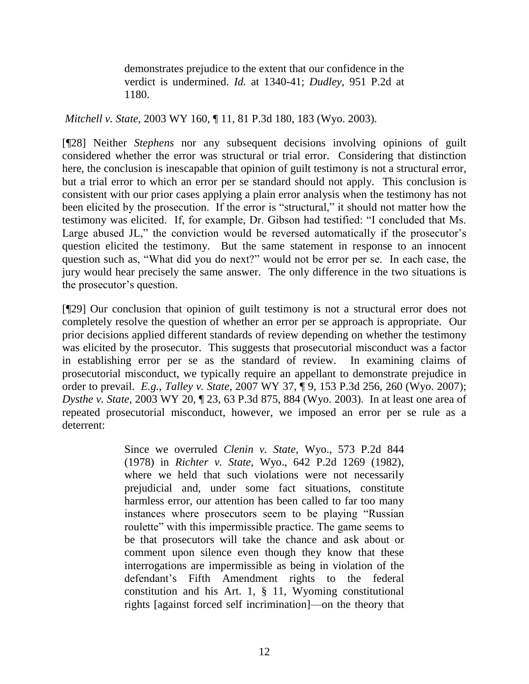demonstrates prejudice to the extent that our confidence in the verdict is undermined. *Id.* at 1340-41; *Dudley*, 951 P.2d at 1180.

*Mitchell v. State*, 2003 WY 160, ¶ 11, 81 P.3d 180, 183 (Wyo. 2003).

[¶28] Neither *Stephens* nor any subsequent decisions involving opinions of guilt considered whether the error was structural or trial error. Considering that distinction here, the conclusion is inescapable that opinion of guilt testimony is not a structural error, but a trial error to which an error per se standard should not apply. This conclusion is consistent with our prior cases applying a plain error analysis when the testimony has not been elicited by the prosecution. If the error is "structural," it should not matter how the testimony was elicited. If, for example, Dr. Gibson had testified: "I concluded that Ms. Large abused JL," the conviction would be reversed automatically if the prosecutor's question elicited the testimony. But the same statement in response to an innocent question such as, "What did you do next?" would not be error per se. In each case, the jury would hear precisely the same answer. The only difference in the two situations is the prosecutor's question.

[¶29] Our conclusion that opinion of guilt testimony is not a structural error does not completely resolve the question of whether an error per se approach is appropriate. Our prior decisions applied different standards of review depending on whether the testimony was elicited by the prosecutor. This suggests that prosecutorial misconduct was a factor in establishing error per se as the standard of review. In examining claims of prosecutorial misconduct, we typically require an appellant to demonstrate prejudice in order to prevail. *E.g.*, *Talley v. State*, 2007 WY 37, ¶ 9, 153 P.3d 256, 260 (Wyo. 2007); *Dysthe v. State*, 2003 WY 20, ¶ 23, 63 P.3d 875, 884 (Wyo. 2003). In at least one area of repeated prosecutorial misconduct, however, we imposed an error per se rule as a deterrent:

> Since we overruled *Clenin v. State*, Wyo., 573 P.2d 844 (1978) in *Richter v. State*, Wyo., 642 P.2d 1269 (1982), where we held that such violations were not necessarily prejudicial and, under some fact situations, constitute harmless error, our attention has been called to far too many instances where prosecutors seem to be playing "Russian" roulette" with this impermissible practice. The game seems to be that prosecutors will take the chance and ask about or comment upon silence even though they know that these interrogations are impermissible as being in violation of the defendant's Fifth Amendment rights to the federal constitution and his Art. 1, § 11, Wyoming constitutional rights [against forced self incrimination]—on the theory that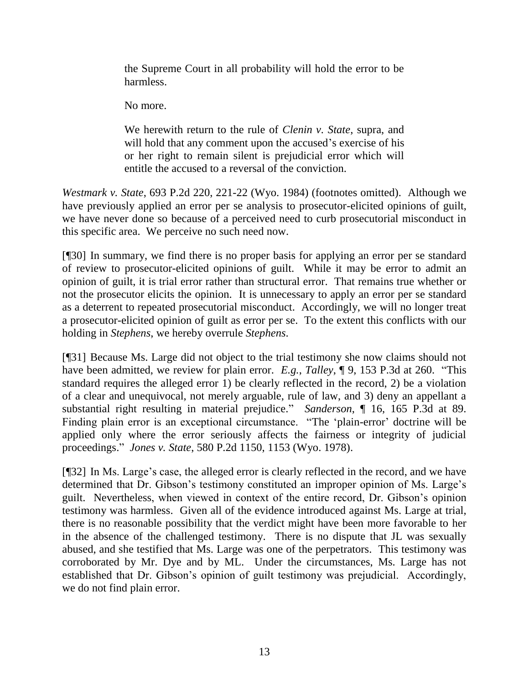the Supreme Court in all probability will hold the error to be harmless.

No more.

We herewith return to the rule of *Clenin v. State*, supra, and will hold that any comment upon the accused's exercise of his or her right to remain silent is prejudicial error which will entitle the accused to a reversal of the conviction.

*Westmark v. State*, 693 P.2d 220, 221-22 (Wyo. 1984) (footnotes omitted). Although we have previously applied an error per se analysis to prosecutor-elicited opinions of guilt, we have never done so because of a perceived need to curb prosecutorial misconduct in this specific area. We perceive no such need now.

[¶30] In summary, we find there is no proper basis for applying an error per se standard of review to prosecutor-elicited opinions of guilt. While it may be error to admit an opinion of guilt, it is trial error rather than structural error. That remains true whether or not the prosecutor elicits the opinion. It is unnecessary to apply an error per se standard as a deterrent to repeated prosecutorial misconduct. Accordingly, we will no longer treat a prosecutor-elicited opinion of guilt as error per se. To the extent this conflicts with our holding in *Stephens*, we hereby overrule *Stephens*.

[¶31] Because Ms. Large did not object to the trial testimony she now claims should not have been admitted, we review for plain error. *E.g.*, *Talley*, ¶ 9, 153 P.3d at 260. "This standard requires the alleged error 1) be clearly reflected in the record, 2) be a violation of a clear and unequivocal, not merely arguable, rule of law, and 3) deny an appellant a substantial right resulting in material prejudice." *Sanderson*, 16, 165 P.3d at 89. Finding plain error is an exceptional circumstance. "The 'plain-error' doctrine will be applied only where the error seriously affects the fairness or integrity of judicial proceedings.‖ *Jones v. State*, 580 P.2d 1150, 1153 (Wyo. 1978).

[¶32] In Ms. Large's case, the alleged error is clearly reflected in the record, and we have determined that Dr. Gibson's testimony constituted an improper opinion of Ms. Large's guilt. Nevertheless, when viewed in context of the entire record, Dr. Gibson's opinion testimony was harmless. Given all of the evidence introduced against Ms. Large at trial, there is no reasonable possibility that the verdict might have been more favorable to her in the absence of the challenged testimony. There is no dispute that JL was sexually abused, and she testified that Ms. Large was one of the perpetrators. This testimony was corroborated by Mr. Dye and by ML. Under the circumstances, Ms. Large has not established that Dr. Gibson's opinion of guilt testimony was prejudicial. Accordingly, we do not find plain error.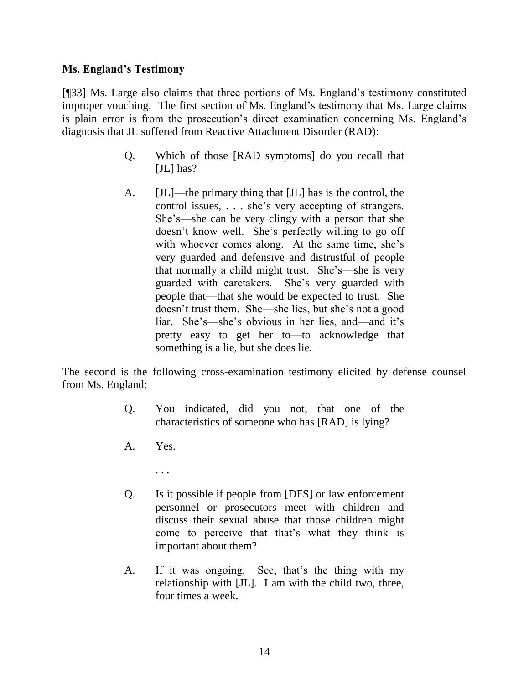# **Ms. England's Testimony**

[¶33] Ms. Large also claims that three portions of Ms. England's testimony constituted improper vouching. The first section of Ms. England's testimony that Ms. Large claims is plain error is from the prosecution's direct examination concerning Ms. England's diagnosis that JL suffered from Reactive Attachment Disorder (RAD):

- Q. Which of those [RAD symptoms] do you recall that [JL] has?
- A. [JL]—the primary thing that [JL] has is the control, the control issues, . . . she's very accepting of strangers. She's—she can be very clingy with a person that she doesn't know well. She's perfectly willing to go off with whoever comes along. At the same time, she's very guarded and defensive and distrustful of people that normally a child might trust. She's—she is very guarded with caretakers. She's very guarded with people that—that she would be expected to trust. She doesn't trust them. She—she lies, but she's not a good liar. She's—she's obvious in her lies, and—and it's pretty easy to get her to—to acknowledge that something is a lie, but she does lie.

The second is the following cross-examination testimony elicited by defense counsel from Ms. England:

- Q. You indicated, did you not, that one of the characteristics of someone who has [RAD] is lying?
- A. Yes.
	- . . .
- Q. Is it possible if people from [DFS] or law enforcement personnel or prosecutors meet with children and discuss their sexual abuse that those children might come to perceive that that's what they think is important about them?
- A. If it was ongoing. See, that's the thing with my relationship with [JL]. I am with the child two, three, four times a week.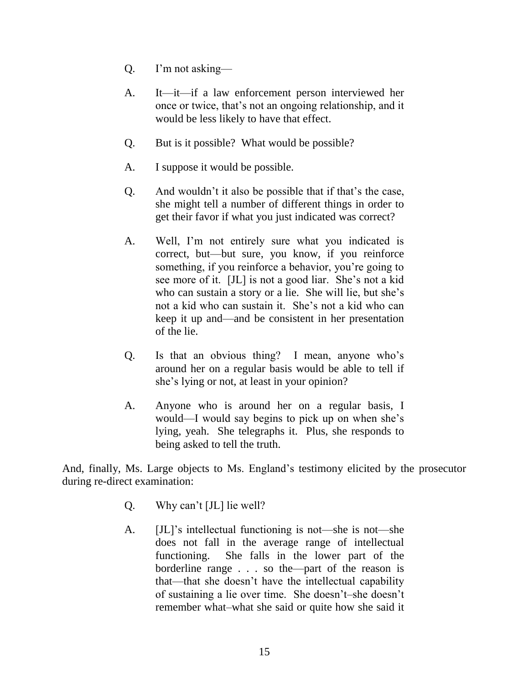- Q. I'm not asking—
- A. It—it—if a law enforcement person interviewed her once or twice, that's not an ongoing relationship, and it would be less likely to have that effect.
- Q. But is it possible? What would be possible?
- A. I suppose it would be possible.
- Q. And wouldn't it also be possible that if that's the case, she might tell a number of different things in order to get their favor if what you just indicated was correct?
- A. Well, I'm not entirely sure what you indicated is correct, but—but sure, you know, if you reinforce something, if you reinforce a behavior, you're going to see more of it. [JL] is not a good liar. She's not a kid who can sustain a story or a lie. She will lie, but she's not a kid who can sustain it. She's not a kid who can keep it up and—and be consistent in her presentation of the lie.
- Q. Is that an obvious thing? I mean, anyone who's around her on a regular basis would be able to tell if she's lying or not, at least in your opinion?
- A. Anyone who is around her on a regular basis, I would—I would say begins to pick up on when she's lying, yeah. She telegraphs it. Plus, she responds to being asked to tell the truth.

And, finally, Ms. Large objects to Ms. England's testimony elicited by the prosecutor during re-direct examination:

- Q. Why can't [JL] lie well?
- A. [JL]'s intellectual functioning is not—she is not—she does not fall in the average range of intellectual functioning. She falls in the lower part of the borderline range . . . so the—part of the reason is that—that she doesn't have the intellectual capability of sustaining a lie over time. She doesn't–she doesn't remember what–what she said or quite how she said it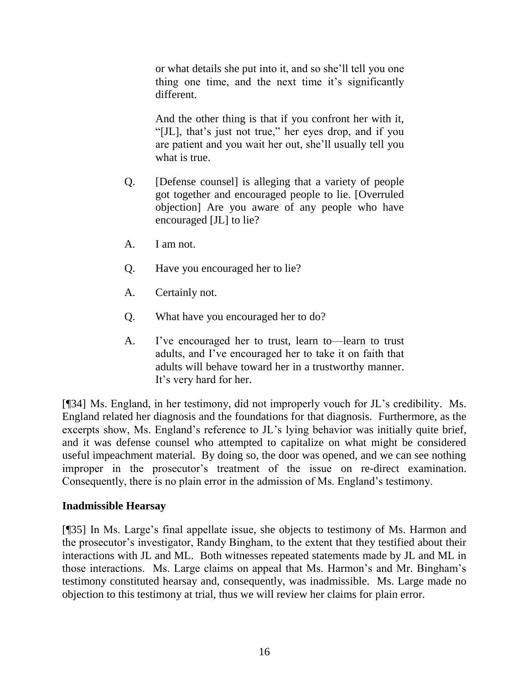or what details she put into it, and so she'll tell you one thing one time, and the next time it's significantly different.

And the other thing is that if you confront her with it, "[JL], that's just not true," her eyes drop, and if you are patient and you wait her out, she'll usually tell you what is true.

- Q. [Defense counsel] is alleging that a variety of people got together and encouraged people to lie. [Overruled objection] Are you aware of any people who have encouraged [JL] to lie?
- A. I am not.
- Q. Have you encouraged her to lie?
- A. Certainly not.
- Q. What have you encouraged her to do?
- A. I've encouraged her to trust, learn to—learn to trust adults, and I've encouraged her to take it on faith that adults will behave toward her in a trustworthy manner. It's very hard for her.

[¶34] Ms. England, in her testimony, did not improperly vouch for JL's credibility. Ms. England related her diagnosis and the foundations for that diagnosis. Furthermore, as the excerpts show, Ms. England's reference to JL's lying behavior was initially quite brief, and it was defense counsel who attempted to capitalize on what might be considered useful impeachment material. By doing so, the door was opened, and we can see nothing improper in the prosecutor's treatment of the issue on re-direct examination. Consequently, there is no plain error in the admission of Ms. England's testimony.

## **Inadmissible Hearsay**

[¶35] In Ms. Large's final appellate issue, she objects to testimony of Ms. Harmon and the prosecutor's investigator, Randy Bingham, to the extent that they testified about their interactions with JL and ML. Both witnesses repeated statements made by JL and ML in those interactions. Ms. Large claims on appeal that Ms. Harmon's and Mr. Bingham's testimony constituted hearsay and, consequently, was inadmissible. Ms. Large made no objection to this testimony at trial, thus we will review her claims for plain error.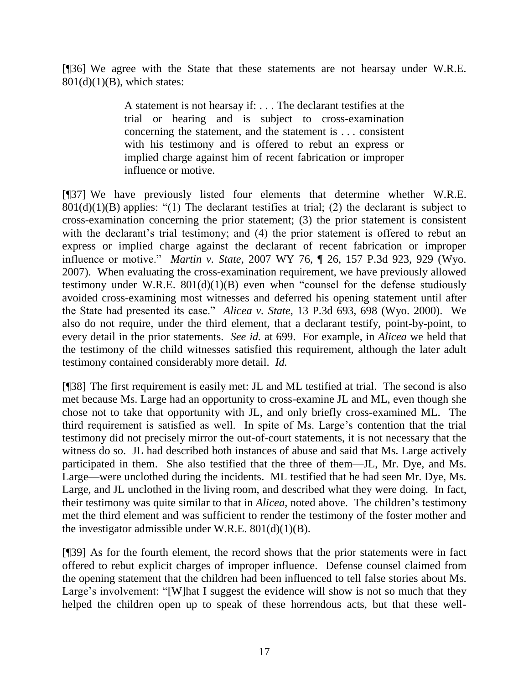[¶36] We agree with the State that these statements are not hearsay under W.R.E.  $801(d)(1)(B)$ , which states:

> A statement is not hearsay if: . . . The declarant testifies at the trial or hearing and is subject to cross-examination concerning the statement, and the statement is . . . consistent with his testimony and is offered to rebut an express or implied charge against him of recent fabrication or improper influence or motive.

[¶37] We have previously listed four elements that determine whether W.R.E.  $801(d)(1)(B)$  applies: "(1) The declarant testifies at trial; (2) the declarant is subject to cross-examination concerning the prior statement; (3) the prior statement is consistent with the declarant's trial testimony; and (4) the prior statement is offered to rebut an express or implied charge against the declarant of recent fabrication or improper influence or motive." *Martin v. State*, 2007 WY 76, ¶ 26, 157 P.3d 923, 929 (Wyo. 2007). When evaluating the cross-examination requirement, we have previously allowed testimony under W.R.E.  $801(d)(1)(B)$  even when "counsel for the defense studiously avoided cross-examining most witnesses and deferred his opening statement until after the State had presented its case.‖ *Alicea v. State*, 13 P.3d 693, 698 (Wyo. 2000). We also do not require, under the third element, that a declarant testify, point-by-point, to every detail in the prior statements. *See id.* at 699. For example, in *Alicea* we held that the testimony of the child witnesses satisfied this requirement, although the later adult testimony contained considerably more detail. *Id.*

[¶38] The first requirement is easily met: JL and ML testified at trial. The second is also met because Ms. Large had an opportunity to cross-examine JL and ML, even though she chose not to take that opportunity with JL, and only briefly cross-examined ML. The third requirement is satisfied as well. In spite of Ms. Large's contention that the trial testimony did not precisely mirror the out-of-court statements, it is not necessary that the witness do so. JL had described both instances of abuse and said that Ms. Large actively participated in them. She also testified that the three of them—JL, Mr. Dye, and Ms. Large—were unclothed during the incidents. ML testified that he had seen Mr. Dye, Ms. Large, and JL unclothed in the living room, and described what they were doing. In fact, their testimony was quite similar to that in *Alicea*, noted above. The children's testimony met the third element and was sufficient to render the testimony of the foster mother and the investigator admissible under W.R.E.  $801(d)(1)(B)$ .

[¶39] As for the fourth element, the record shows that the prior statements were in fact offered to rebut explicit charges of improper influence. Defense counsel claimed from the opening statement that the children had been influenced to tell false stories about Ms. Large's involvement: "[W]hat I suggest the evidence will show is not so much that they helped the children open up to speak of these horrendous acts, but that these well